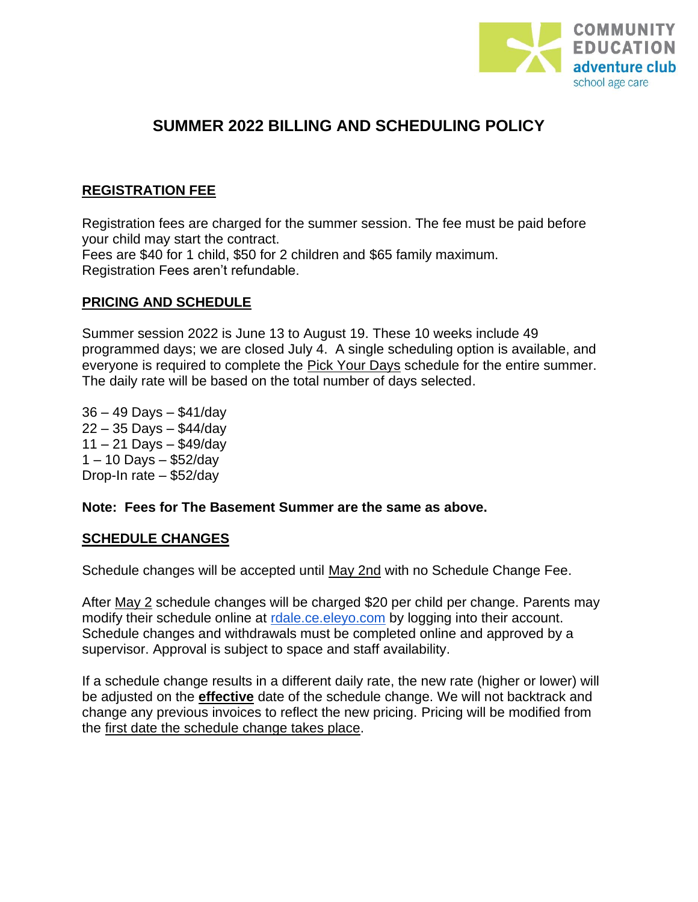

# **SUMMER 2022 BILLING AND SCHEDULING POLICY**

## **REGISTRATION FEE**

Registration fees are charged for the summer session. The fee must be paid before your child may start the contract. Fees are \$40 for 1 child, \$50 for 2 children and \$65 family maximum. Registration Fees aren't refundable.

# **PRICING AND SCHEDULE**

Summer session 2022 is June 13 to August 19. These 10 weeks include 49 programmed days; we are closed July 4. A single scheduling option is available, and everyone is required to complete the Pick Your Days schedule for the entire summer. The daily rate will be based on the total number of days selected.

36 – 49 Days – \$41/day 22 – 35 Days – \$44/day 11 – 21 Days – \$49/day 1 – 10 Days – \$52/day Drop-In rate – \$52/day

#### **Note: Fees for The Basement Summer are the same as above.**

#### **SCHEDULE CHANGES**

Schedule changes will be accepted until May 2nd with no Schedule Change Fee.

After May 2 schedule changes will be charged \$20 per child per change. Parents may modify their schedule online at [rdale.ce.eleyo.com](https://rdale.ce.eleyo.com/) by logging into their account. Schedule changes and withdrawals must be completed online and approved by a supervisor. Approval is subject to space and staff availability.

If a schedule change results in a different daily rate, the new rate (higher or lower) will be adjusted on the **effective** date of the schedule change. We will not backtrack and change any previous invoices to reflect the new pricing. Pricing will be modified from the first date the schedule change takes place.